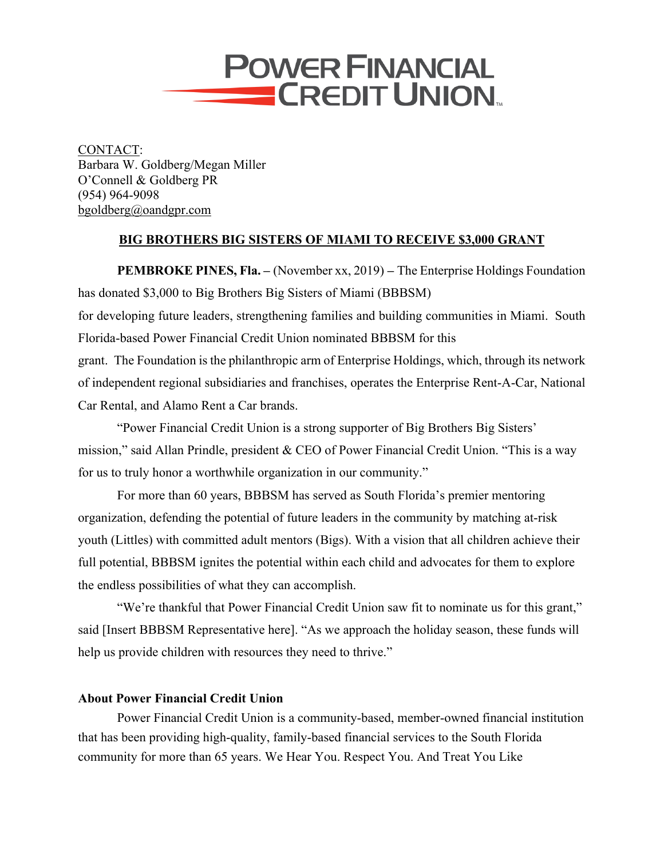

CONTACT: Barbara W. Goldberg/Megan Miller O'Connell & Goldberg PR (954) 964-9098 bgoldberg@oandgpr.com

## **BIG BROTHERS BIG SISTERS OF MIAMI TO RECEIVE \$3,000 GRANT**

**PEMBROKE PINES, Fla. –** (November xx, 2019) **–** The Enterprise Holdings Foundation has donated \$3,000 to Big Brothers Big Sisters of Miami (BBBSM) for developing future leaders, strengthening families and building communities in Miami. South Florida-based Power Financial Credit Union nominated BBBSM for this grant. The Foundation is the philanthropic arm of Enterprise Holdings, which, through its network of independent regional subsidiaries and franchises, operates the Enterprise Rent-A-Car, National

Car Rental, and Alamo Rent a Car brands.

"Power Financial Credit Union is a strong supporter of Big Brothers Big Sisters' mission," said Allan Prindle, president & CEO of Power Financial Credit Union. "This is a way for us to truly honor a worthwhile organization in our community."

 For more than 60 years, BBBSM has served as South Florida's premier mentoring organization, defending the potential of future leaders in the community by matching at-risk youth (Littles) with committed adult mentors (Bigs). With a vision that all children achieve their full potential, BBBSM ignites the potential within each child and advocates for them to explore the endless possibilities of what they can accomplish.

"We're thankful that Power Financial Credit Union saw fit to nominate us for this grant," said [Insert BBBSM Representative here]. "As we approach the holiday season, these funds will help us provide children with resources they need to thrive."

## **About Power Financial Credit Union**

Power Financial Credit Union is a community-based, member-owned financial institution that has been providing high-quality, family-based financial services to the South Florida community for more than 65 years. We Hear You. Respect You. And Treat You Like